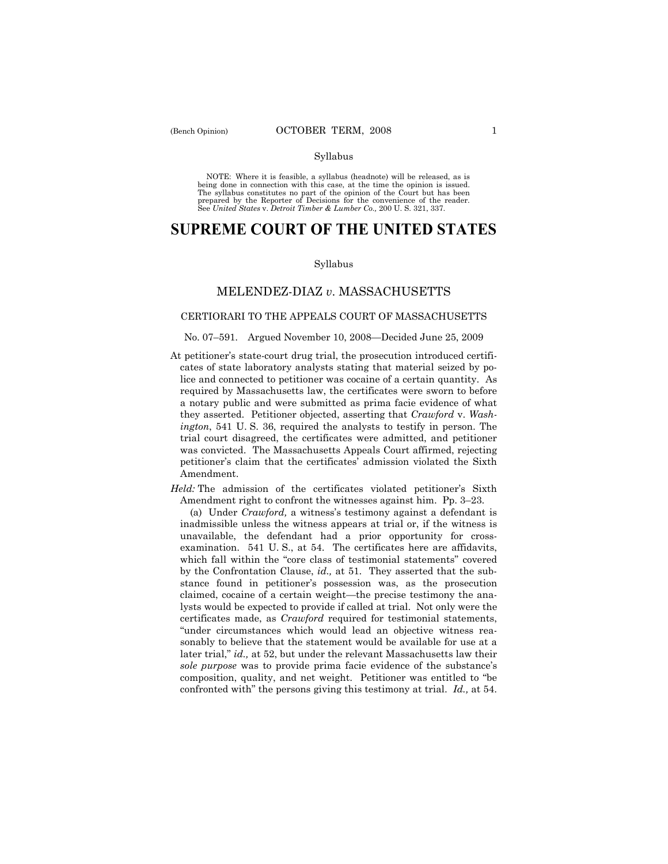## Syllabus

NOTE: Where it is feasible, a syllabus (headnote) will be released, as is being done in connection with this case, at the time the opinion is issued. The syllabus constitutes no part of the opinion of the Court but has been<br>prepared by the Reporter of Decisions for the convenience of the reader.<br>See United States v. Detroit Timber & Lumber Co., 200 U. S. 321, 337.

# **SUPREME COURT OF THE UNITED STATES**

#### Syllabus

# MELENDEZ-DIAZ *v*. MASSACHUSETTS

## CERTIORARI TO THE APPEALS COURT OF MASSACHUSETTS

## No. 07–591. Argued November 10, 2008—Decided June 25, 2009

- At petitioner's state-court drug trial, the prosecution introduced certificates of state laboratory analysts stating that material seized by police and connected to petitioner was cocaine of a certain quantity. As required by Massachusetts law, the certificates were sworn to before a notary public and were submitted as prima facie evidence of what they asserted. Petitioner objected, asserting that *Crawford* v. *Washington*, 541 U. S. 36, required the analysts to testify in person. The trial court disagreed, the certificates were admitted, and petitioner was convicted. The Massachusetts Appeals Court affirmed, rejecting petitioner's claim that the certificates' admission violated the Sixth Amendment.
- *Held:* The admission of the certificates violated petitioner's Sixth Amendment right to confront the witnesses against him. Pp. 3–23.

 (a) Under *Crawford,* a witness's testimony against a defendant is inadmissible unless the witness appears at trial or, if the witness is unavailable, the defendant had a prior opportunity for crossexamination. 541 U. S., at 54. The certificates here are affidavits, which fall within the "core class of testimonial statements" covered by the Confrontation Clause, *id.,* at 51. They asserted that the substance found in petitioner's possession was, as the prosecution claimed, cocaine of a certain weight—the precise testimony the analysts would be expected to provide if called at trial. Not only were the certificates made, as *Crawford* required for testimonial statements, "under circumstances which would lead an objective witness reasonably to believe that the statement would be available for use at a later trial," *id.,* at 52, but under the relevant Massachusetts law their *sole purpose* was to provide prima facie evidence of the substance's composition, quality, and net weight. Petitioner was entitled to "be confronted with" the persons giving this testimony at trial. *Id.,* at 54.